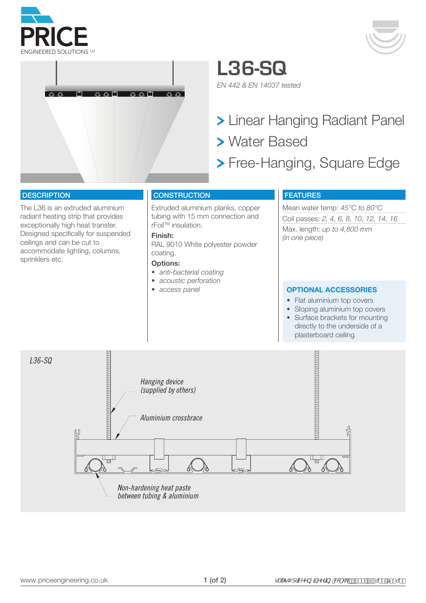



**L36-SQ** *EN 442 & EN 14037 tested*

> Linear Hanging Radiant Panel Water Based

> Free-Hanging, Square Edge

## **DESCRIPTION**

The L36 is an extruded aluminium radiant heating strip that provides exceptionally high heat transfer. Designed specifically for suspended ceilings and can be cut to accommodate lighting, columns, sprinklers etc.

## **CONSTRUCTION**

Extruded aluminium planks, copper tubing with 15 mm connection and rFoilTM insulation.

## **Finish:**

RAL 9010 White polyester powder coating.

#### **Options:**

- *• anti-bacterial coating*
- *• acoustic perforation*
- 

# FEATURES

Mean water temp: *45°C to 80°C* Coil passes: *2, 4, 6, 8, 10, 12, 14, 16* Max. length: *up to 4,800 mm (in one piece)*

#### *• access panel* **OPTIONAL ACCESSORIES**

- Flat aluminium top covers
- Sloping aluminium top covers • Surface brackets for mounting directly to the underside of a plasterboard ceiling